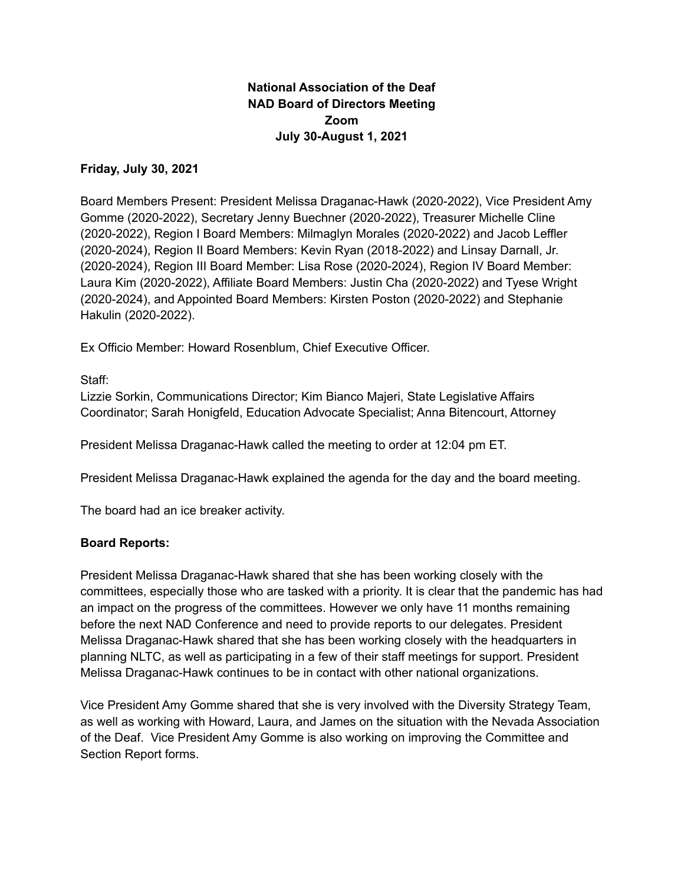# **National Association of the Deaf NAD Board of Directors Meeting Zoom July 30-August 1, 2021**

### **Friday, July 30, 2021**

Board Members Present: President Melissa Draganac-Hawk (2020-2022), Vice President Amy Gomme (2020-2022), Secretary Jenny Buechner (2020-2022), Treasurer Michelle Cline (2020-2022), Region I Board Members: Milmaglyn Morales (2020-2022) and Jacob Leffler (2020-2024), Region II Board Members: Kevin Ryan (2018-2022) and Linsay Darnall, Jr. (2020-2024), Region III Board Member: Lisa Rose (2020-2024), Region IV Board Member: Laura Kim (2020-2022), Affiliate Board Members: Justin Cha (2020-2022) and Tyese Wright (2020-2024), and Appointed Board Members: Kirsten Poston (2020-2022) and Stephanie Hakulin (2020-2022).

Ex Officio Member: Howard Rosenblum, Chief Executive Officer.

Staff:

Lizzie Sorkin, Communications Director; Kim Bianco Majeri, State Legislative Affairs Coordinator; Sarah Honigfeld, Education Advocate Specialist; Anna Bitencourt, Attorney

President Melissa Draganac-Hawk called the meeting to order at 12:04 pm ET.

President Melissa Draganac-Hawk explained the agenda for the day and the board meeting.

The board had an ice breaker activity.

### **Board Reports:**

President Melissa Draganac-Hawk shared that she has been working closely with the committees, especially those who are tasked with a priority. It is clear that the pandemic has had an impact on the progress of the committees. However we only have 11 months remaining before the next NAD Conference and need to provide reports to our delegates. President Melissa Draganac-Hawk shared that she has been working closely with the headquarters in planning NLTC, as well as participating in a few of their staff meetings for support. President Melissa Draganac-Hawk continues to be in contact with other national organizations.

Vice President Amy Gomme shared that she is very involved with the Diversity Strategy Team, as well as working with Howard, Laura, and James on the situation with the Nevada Association of the Deaf. Vice President Amy Gomme is also working on improving the Committee and Section Report forms.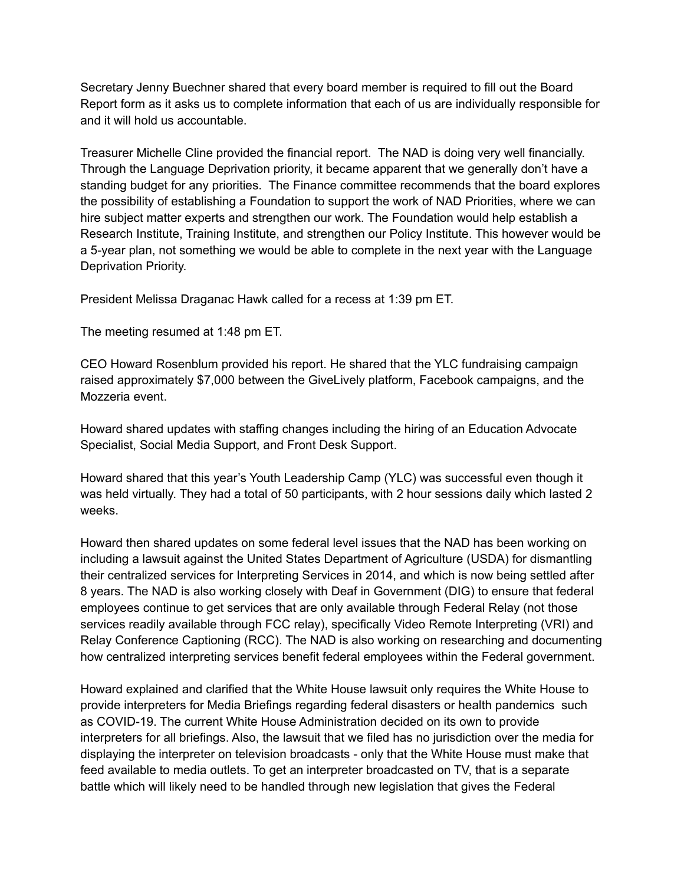Secretary Jenny Buechner shared that every board member is required to fill out the Board Report form as it asks us to complete information that each of us are individually responsible for and it will hold us accountable.

Treasurer Michelle Cline provided the financial report. The NAD is doing very well financially. Through the Language Deprivation priority, it became apparent that we generally don't have a standing budget for any priorities. The Finance committee recommends that the board explores the possibility of establishing a Foundation to support the work of NAD Priorities, where we can hire subject matter experts and strengthen our work. The Foundation would help establish a Research Institute, Training Institute, and strengthen our Policy Institute. This however would be a 5-year plan, not something we would be able to complete in the next year with the Language Deprivation Priority.

President Melissa Draganac Hawk called for a recess at 1:39 pm ET.

The meeting resumed at 1:48 pm ET.

CEO Howard Rosenblum provided his report. He shared that the YLC fundraising campaign raised approximately \$7,000 between the GiveLively platform, Facebook campaigns, and the Mozzeria event.

Howard shared updates with staffing changes including the hiring of an Education Advocate Specialist, Social Media Support, and Front Desk Support.

Howard shared that this year's Youth Leadership Camp (YLC) was successful even though it was held virtually. They had a total of 50 participants, with 2 hour sessions daily which lasted 2 weeks.

Howard then shared updates on some federal level issues that the NAD has been working on including a lawsuit against the United States Department of Agriculture (USDA) for dismantling their centralized services for Interpreting Services in 2014, and which is now being settled after 8 years. The NAD is also working closely with Deaf in Government (DIG) to ensure that federal employees continue to get services that are only available through Federal Relay (not those services readily available through FCC relay), specifically Video Remote Interpreting (VRI) and Relay Conference Captioning (RCC). The NAD is also working on researching and documenting how centralized interpreting services benefit federal employees within the Federal government.

Howard explained and clarified that the White House lawsuit only requires the White House to provide interpreters for Media Briefings regarding federal disasters or health pandemics such as COVID-19. The current White House Administration decided on its own to provide interpreters for all briefings. Also, the lawsuit that we filed has no jurisdiction over the media for displaying the interpreter on television broadcasts - only that the White House must make that feed available to media outlets. To get an interpreter broadcasted on TV, that is a separate battle which will likely need to be handled through new legislation that gives the Federal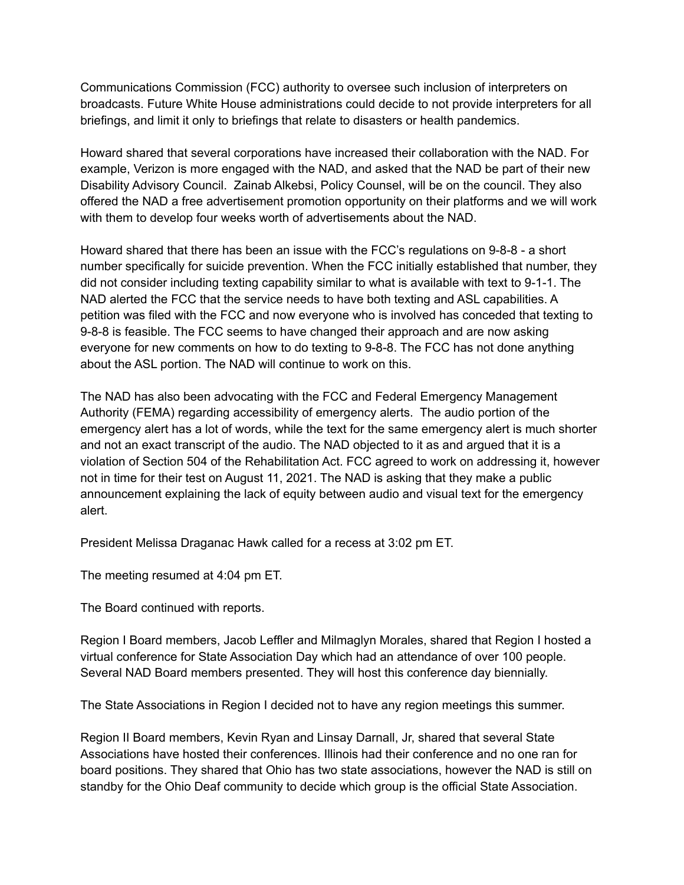Communications Commission (FCC) authority to oversee such inclusion of interpreters on broadcasts. Future White House administrations could decide to not provide interpreters for all briefings, and limit it only to briefings that relate to disasters or health pandemics.

Howard shared that several corporations have increased their collaboration with the NAD. For example, Verizon is more engaged with the NAD, and asked that the NAD be part of their new Disability Advisory Council. Zainab Alkebsi, Policy Counsel, will be on the council. They also offered the NAD a free advertisement promotion opportunity on their platforms and we will work with them to develop four weeks worth of advertisements about the NAD.

Howard shared that there has been an issue with the FCC's regulations on 9-8-8 - a short number specifically for suicide prevention. When the FCC initially established that number, they did not consider including texting capability similar to what is available with text to 9-1-1. The NAD alerted the FCC that the service needs to have both texting and ASL capabilities. A petition was filed with the FCC and now everyone who is involved has conceded that texting to 9-8-8 is feasible. The FCC seems to have changed their approach and are now asking everyone for new comments on how to do texting to 9-8-8. The FCC has not done anything about the ASL portion. The NAD will continue to work on this.

The NAD has also been advocating with the FCC and Federal Emergency Management Authority (FEMA) regarding accessibility of emergency alerts. The audio portion of the emergency alert has a lot of words, while the text for the same emergency alert is much shorter and not an exact transcript of the audio. The NAD objected to it as and argued that it is a violation of Section 504 of the Rehabilitation Act. FCC agreed to work on addressing it, however not in time for their test on August 11, 2021. The NAD is asking that they make a public announcement explaining the lack of equity between audio and visual text for the emergency alert.

President Melissa Draganac Hawk called for a recess at 3:02 pm ET.

The meeting resumed at 4:04 pm ET.

The Board continued with reports.

Region I Board members, Jacob Leffler and Milmaglyn Morales, shared that Region I hosted a virtual conference for State Association Day which had an attendance of over 100 people. Several NAD Board members presented. They will host this conference day biennially.

The State Associations in Region I decided not to have any region meetings this summer.

Region II Board members, Kevin Ryan and Linsay Darnall, Jr, shared that several State Associations have hosted their conferences. Illinois had their conference and no one ran for board positions. They shared that Ohio has two state associations, however the NAD is still on standby for the Ohio Deaf community to decide which group is the official State Association.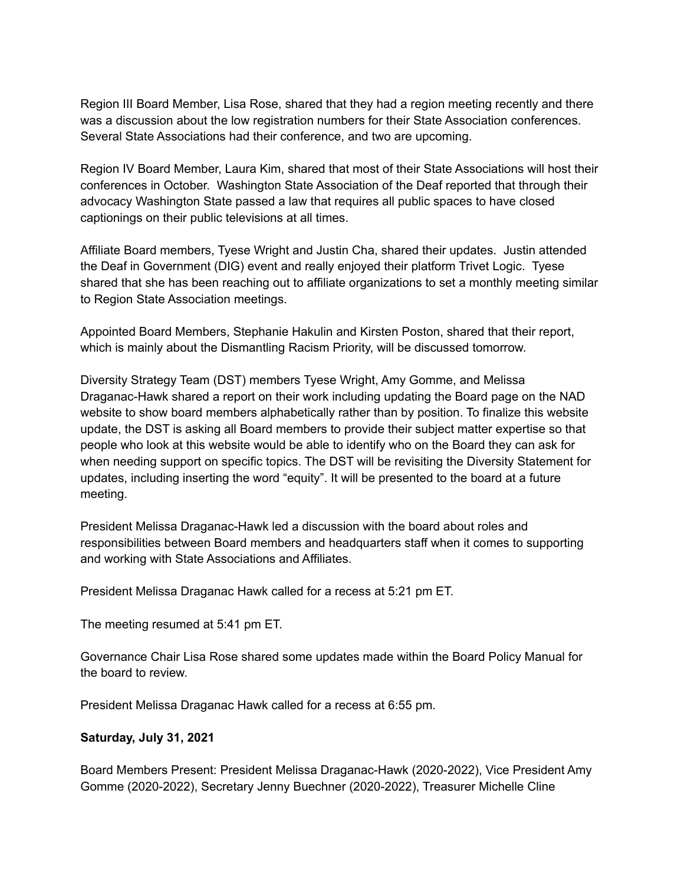Region III Board Member, Lisa Rose, shared that they had a region meeting recently and there was a discussion about the low registration numbers for their State Association conferences. Several State Associations had their conference, and two are upcoming.

Region IV Board Member, Laura Kim, shared that most of their State Associations will host their conferences in October. Washington State Association of the Deaf reported that through their advocacy Washington State passed a law that requires all public spaces to have closed captionings on their public televisions at all times.

Affiliate Board members, Tyese Wright and Justin Cha, shared their updates. Justin attended the Deaf in Government (DIG) event and really enjoyed their platform Trivet Logic. Tyese shared that she has been reaching out to affiliate organizations to set a monthly meeting similar to Region State Association meetings.

Appointed Board Members, Stephanie Hakulin and Kirsten Poston, shared that their report, which is mainly about the Dismantling Racism Priority, will be discussed tomorrow.

Diversity Strategy Team (DST) members Tyese Wright, Amy Gomme, and Melissa Draganac-Hawk shared a report on their work including updating the Board page on the NAD website to show board members alphabetically rather than by position. To finalize this website update, the DST is asking all Board members to provide their subject matter expertise so that people who look at this website would be able to identify who on the Board they can ask for when needing support on specific topics. The DST will be revisiting the Diversity Statement for updates, including inserting the word "equity". It will be presented to the board at a future meeting.

President Melissa Draganac-Hawk led a discussion with the board about roles and responsibilities between Board members and headquarters staff when it comes to supporting and working with State Associations and Affiliates.

President Melissa Draganac Hawk called for a recess at 5:21 pm ET.

The meeting resumed at 5:41 pm ET.

Governance Chair Lisa Rose shared some updates made within the Board Policy Manual for the board to review.

President Melissa Draganac Hawk called for a recess at 6:55 pm.

#### **Saturday, July 31, 2021**

Board Members Present: President Melissa Draganac-Hawk (2020-2022), Vice President Amy Gomme (2020-2022), Secretary Jenny Buechner (2020-2022), Treasurer Michelle Cline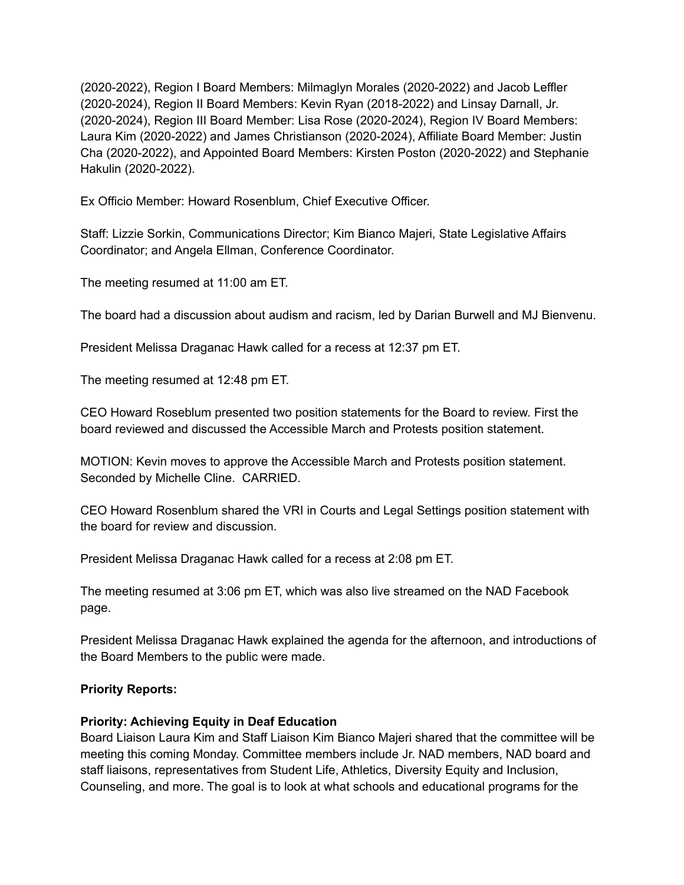(2020-2022), Region I Board Members: Milmaglyn Morales (2020-2022) and Jacob Leffler (2020-2024), Region II Board Members: Kevin Ryan (2018-2022) and Linsay Darnall, Jr. (2020-2024), Region III Board Member: Lisa Rose (2020-2024), Region IV Board Members: Laura Kim (2020-2022) and James Christianson (2020-2024), Affiliate Board Member: Justin Cha (2020-2022), and Appointed Board Members: Kirsten Poston (2020-2022) and Stephanie Hakulin (2020-2022).

Ex Officio Member: Howard Rosenblum, Chief Executive Officer.

Staff: Lizzie Sorkin, Communications Director; Kim Bianco Majeri, State Legislative Affairs Coordinator; and Angela Ellman, Conference Coordinator.

The meeting resumed at 11:00 am ET.

The board had a discussion about audism and racism, led by Darian Burwell and MJ Bienvenu.

President Melissa Draganac Hawk called for a recess at 12:37 pm ET.

The meeting resumed at 12:48 pm ET.

CEO Howard Roseblum presented two position statements for the Board to review. First the board reviewed and discussed the Accessible March and Protests position statement.

MOTION: Kevin moves to approve the Accessible March and Protests position statement. Seconded by Michelle Cline. CARRIED.

CEO Howard Rosenblum shared the VRI in Courts and Legal Settings position statement with the board for review and discussion.

President Melissa Draganac Hawk called for a recess at 2:08 pm ET.

The meeting resumed at 3:06 pm ET, which was also live streamed on the NAD Facebook page.

President Melissa Draganac Hawk explained the agenda for the afternoon, and introductions of the Board Members to the public were made.

### **Priority Reports:**

# **Priority: Achieving Equity in Deaf Education**

Board Liaison Laura Kim and Staff Liaison Kim Bianco Majeri shared that the committee will be meeting this coming Monday. Committee members include Jr. NAD members, NAD board and staff liaisons, representatives from Student Life, Athletics, Diversity Equity and Inclusion, Counseling, and more. The goal is to look at what schools and educational programs for the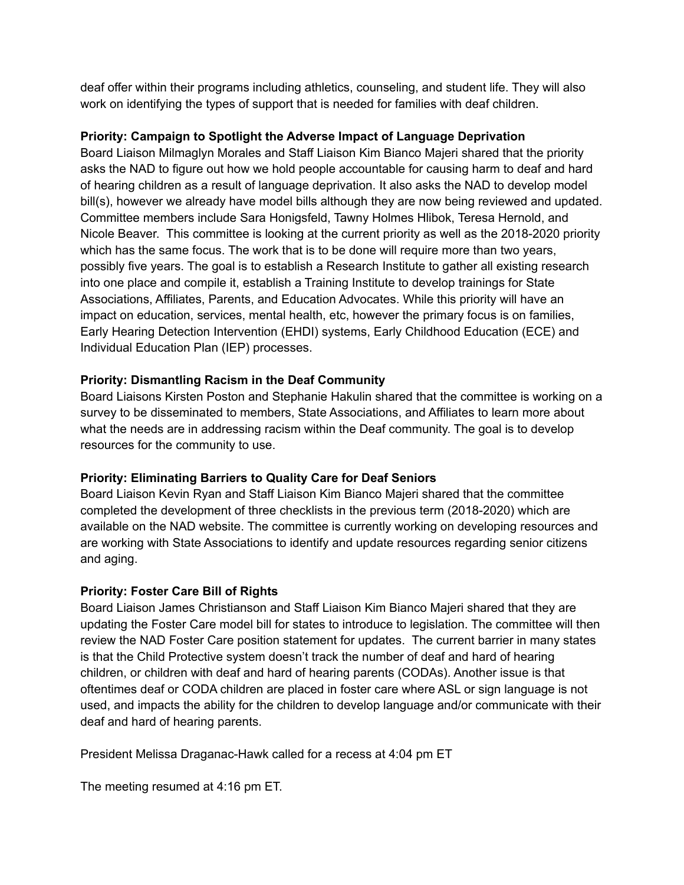deaf offer within their programs including athletics, counseling, and student life. They will also work on identifying the types of support that is needed for families with deaf children.

# **Priority: Campaign to Spotlight the Adverse Impact of Language Deprivation**

Board Liaison Milmaglyn Morales and Staff Liaison Kim Bianco Majeri shared that the priority asks the NAD to figure out how we hold people accountable for causing harm to deaf and hard of hearing children as a result of language deprivation. It also asks the NAD to develop model bill(s), however we already have model bills although they are now being reviewed and updated. Committee members include Sara Honigsfeld, Tawny Holmes Hlibok, Teresa Hernold, and Nicole Beaver. This committee is looking at the current priority as well as the 2018-2020 priority which has the same focus. The work that is to be done will require more than two years, possibly five years. The goal is to establish a Research Institute to gather all existing research into one place and compile it, establish a Training Institute to develop trainings for State Associations, Affiliates, Parents, and Education Advocates. While this priority will have an impact on education, services, mental health, etc, however the primary focus is on families, Early Hearing Detection Intervention (EHDI) systems, Early Childhood Education (ECE) and Individual Education Plan (IEP) processes.

# **Priority: Dismantling Racism in the Deaf Community**

Board Liaisons Kirsten Poston and Stephanie Hakulin shared that the committee is working on a survey to be disseminated to members, State Associations, and Affiliates to learn more about what the needs are in addressing racism within the Deaf community. The goal is to develop resources for the community to use.

# **Priority: Eliminating Barriers to Quality Care for Deaf Seniors**

Board Liaison Kevin Ryan and Staff Liaison Kim Bianco Majeri shared that the committee completed the development of three checklists in the previous term (2018-2020) which are available on the NAD website. The committee is currently working on developing resources and are working with State Associations to identify and update resources regarding senior citizens and aging.

# **Priority: Foster Care Bill of Rights**

Board Liaison James Christianson and Staff Liaison Kim Bianco Majeri shared that they are updating the Foster Care model bill for states to introduce to legislation. The committee will then review the NAD Foster Care position statement for updates. The current barrier in many states is that the Child Protective system doesn't track the number of deaf and hard of hearing children, or children with deaf and hard of hearing parents (CODAs). Another issue is that oftentimes deaf or CODA children are placed in foster care where ASL or sign language is not used, and impacts the ability for the children to develop language and/or communicate with their deaf and hard of hearing parents.

President Melissa Draganac-Hawk called for a recess at 4:04 pm ET

The meeting resumed at 4:16 pm ET.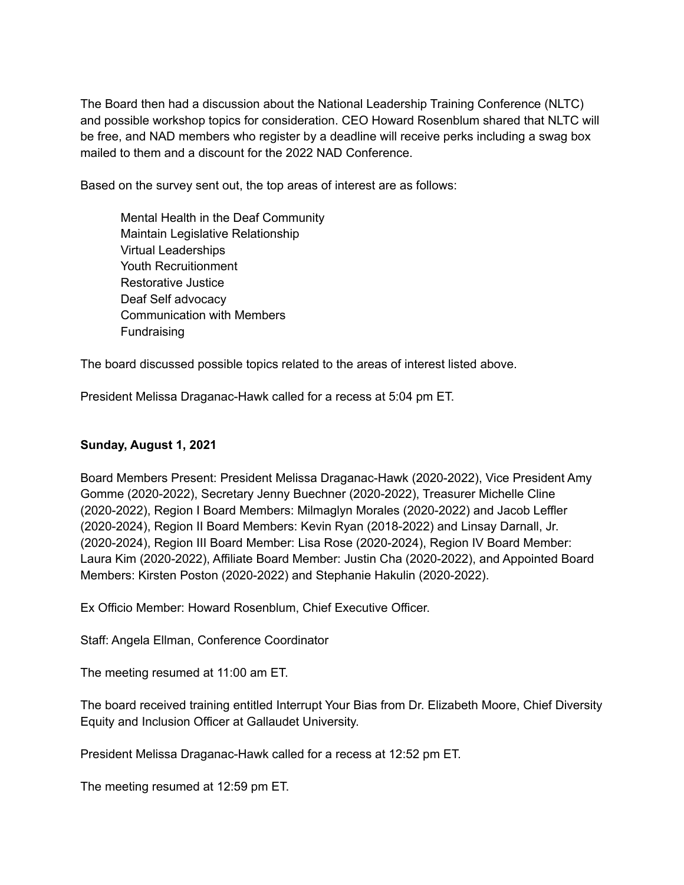The Board then had a discussion about the National Leadership Training Conference (NLTC) and possible workshop topics for consideration. CEO Howard Rosenblum shared that NLTC will be free, and NAD members who register by a deadline will receive perks including a swag box mailed to them and a discount for the 2022 NAD Conference.

Based on the survey sent out, the top areas of interest are as follows:

Mental Health in the Deaf Community Maintain Legislative Relationship Virtual Leaderships Youth Recruitionment Restorative Justice Deaf Self advocacy Communication with Members Fundraising

The board discussed possible topics related to the areas of interest listed above.

President Melissa Draganac-Hawk called for a recess at 5:04 pm ET.

## **Sunday, August 1, 2021**

Board Members Present: President Melissa Draganac-Hawk (2020-2022), Vice President Amy Gomme (2020-2022), Secretary Jenny Buechner (2020-2022), Treasurer Michelle Cline (2020-2022), Region I Board Members: Milmaglyn Morales (2020-2022) and Jacob Leffler (2020-2024), Region II Board Members: Kevin Ryan (2018-2022) and Linsay Darnall, Jr. (2020-2024), Region III Board Member: Lisa Rose (2020-2024), Region IV Board Member: Laura Kim (2020-2022), Affiliate Board Member: Justin Cha (2020-2022), and Appointed Board Members: Kirsten Poston (2020-2022) and Stephanie Hakulin (2020-2022).

Ex Officio Member: Howard Rosenblum, Chief Executive Officer.

Staff: Angela Ellman, Conference Coordinator

The meeting resumed at 11:00 am ET.

The board received training entitled Interrupt Your Bias from Dr. Elizabeth Moore, Chief Diversity Equity and Inclusion Officer at Gallaudet University.

President Melissa Draganac-Hawk called for a recess at 12:52 pm ET.

The meeting resumed at 12:59 pm ET.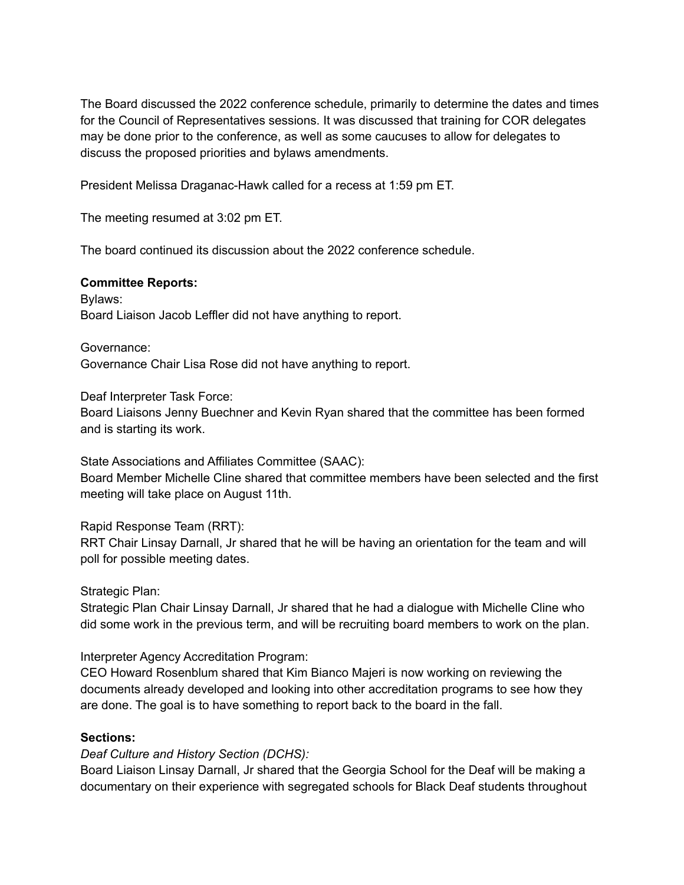The Board discussed the 2022 conference schedule, primarily to determine the dates and times for the Council of Representatives sessions. It was discussed that training for COR delegates may be done prior to the conference, as well as some caucuses to allow for delegates to discuss the proposed priorities and bylaws amendments.

President Melissa Draganac-Hawk called for a recess at 1:59 pm ET.

The meeting resumed at 3:02 pm ET.

The board continued its discussion about the 2022 conference schedule.

#### **Committee Reports:**

Bylaws: Board Liaison Jacob Leffler did not have anything to report.

Governance:

Governance Chair Lisa Rose did not have anything to report.

Deaf Interpreter Task Force:

Board Liaisons Jenny Buechner and Kevin Ryan shared that the committee has been formed and is starting its work.

State Associations and Affiliates Committee (SAAC): Board Member Michelle Cline shared that committee members have been selected and the first

meeting will take place on August 11th.

Rapid Response Team (RRT):

RRT Chair Linsay Darnall, Jr shared that he will be having an orientation for the team and will poll for possible meeting dates.

### Strategic Plan:

Strategic Plan Chair Linsay Darnall, Jr shared that he had a dialogue with Michelle Cline who did some work in the previous term, and will be recruiting board members to work on the plan.

Interpreter Agency Accreditation Program:

CEO Howard Rosenblum shared that Kim Bianco Majeri is now working on reviewing the documents already developed and looking into other accreditation programs to see how they are done. The goal is to have something to report back to the board in the fall.

#### **Sections:**

*Deaf Culture and History Section (DCHS):*

Board Liaison Linsay Darnall, Jr shared that the Georgia School for the Deaf will be making a documentary on their experience with segregated schools for Black Deaf students throughout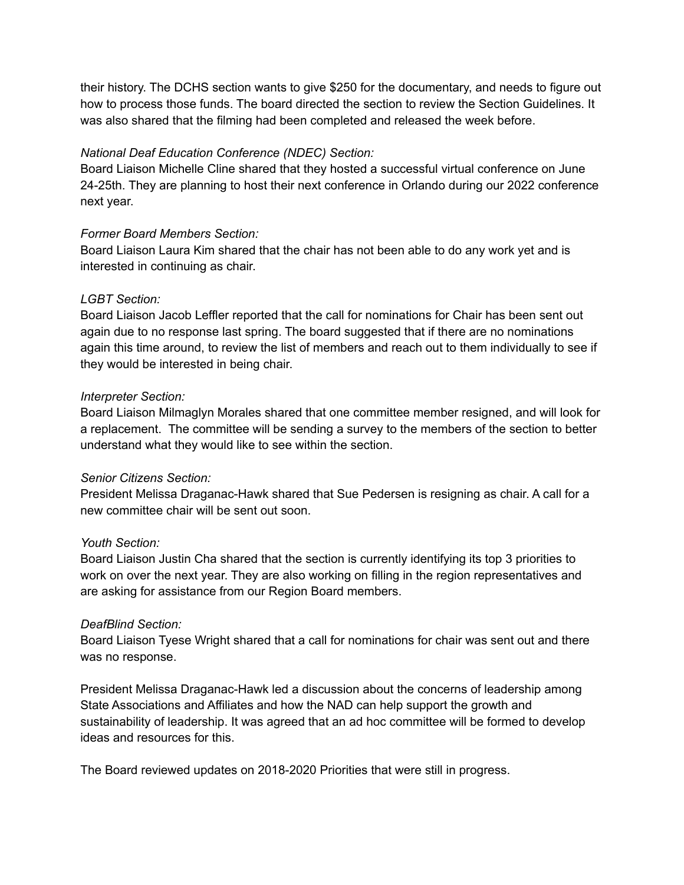their history. The DCHS section wants to give \$250 for the documentary, and needs to figure out how to process those funds. The board directed the section to review the Section Guidelines. It was also shared that the filming had been completed and released the week before.

## *National Deaf Education Conference (NDEC) Section:*

Board Liaison Michelle Cline shared that they hosted a successful virtual conference on June 24-25th. They are planning to host their next conference in Orlando during our 2022 conference next year.

## *Former Board Members Section:*

Board Liaison Laura Kim shared that the chair has not been able to do any work yet and is interested in continuing as chair.

## *LGBT Section:*

Board Liaison Jacob Leffler reported that the call for nominations for Chair has been sent out again due to no response last spring. The board suggested that if there are no nominations again this time around, to review the list of members and reach out to them individually to see if they would be interested in being chair.

## *Interpreter Section:*

Board Liaison Milmaglyn Morales shared that one committee member resigned, and will look for a replacement. The committee will be sending a survey to the members of the section to better understand what they would like to see within the section.

# *Senior Citizens Section:*

President Melissa Draganac-Hawk shared that Sue Pedersen is resigning as chair. A call for a new committee chair will be sent out soon.

### *Youth Section:*

Board Liaison Justin Cha shared that the section is currently identifying its top 3 priorities to work on over the next year. They are also working on filling in the region representatives and are asking for assistance from our Region Board members.

### *DeafBlind Section:*

Board Liaison Tyese Wright shared that a call for nominations for chair was sent out and there was no response.

President Melissa Draganac-Hawk led a discussion about the concerns of leadership among State Associations and Affiliates and how the NAD can help support the growth and sustainability of leadership. It was agreed that an ad hoc committee will be formed to develop ideas and resources for this.

The Board reviewed updates on 2018-2020 Priorities that were still in progress.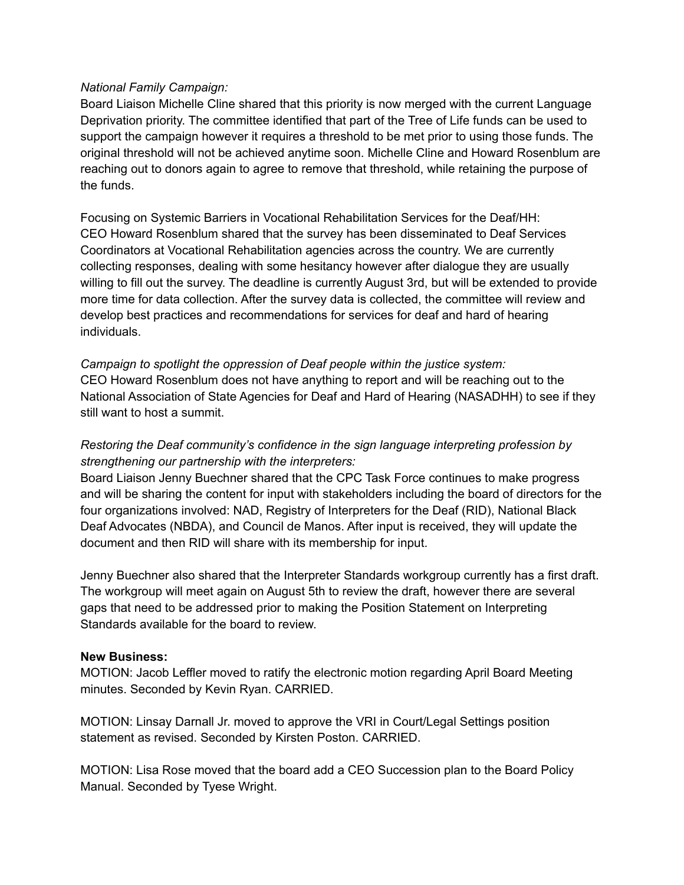### *National Family Campaign:*

Board Liaison Michelle Cline shared that this priority is now merged with the current Language Deprivation priority. The committee identified that part of the Tree of Life funds can be used to support the campaign however it requires a threshold to be met prior to using those funds. The original threshold will not be achieved anytime soon. Michelle Cline and Howard Rosenblum are reaching out to donors again to agree to remove that threshold, while retaining the purpose of the funds.

Focusing on Systemic Barriers in Vocational Rehabilitation Services for the Deaf/HH: CEO Howard Rosenblum shared that the survey has been disseminated to Deaf Services Coordinators at Vocational Rehabilitation agencies across the country. We are currently collecting responses, dealing with some hesitancy however after dialogue they are usually willing to fill out the survey. The deadline is currently August 3rd, but will be extended to provide more time for data collection. After the survey data is collected, the committee will review and develop best practices and recommendations for services for deaf and hard of hearing individuals.

*Campaign to spotlight the oppression of Deaf people within the justice system:* CEO Howard Rosenblum does not have anything to report and will be reaching out to the National Association of State Agencies for Deaf and Hard of Hearing (NASADHH) to see if they still want to host a summit.

# *Restoring the Deaf community's confidence in the sign language interpreting profession by strengthening our partnership with the interpreters:*

Board Liaison Jenny Buechner shared that the CPC Task Force continues to make progress and will be sharing the content for input with stakeholders including the board of directors for the four organizations involved: NAD, Registry of Interpreters for the Deaf (RID), National Black Deaf Advocates (NBDA), and Council de Manos. After input is received, they will update the document and then RID will share with its membership for input.

Jenny Buechner also shared that the Interpreter Standards workgroup currently has a first draft. The workgroup will meet again on August 5th to review the draft, however there are several gaps that need to be addressed prior to making the Position Statement on Interpreting Standards available for the board to review.

### **New Business:**

MOTION: Jacob Leffler moved to ratify the electronic motion regarding April Board Meeting minutes. Seconded by Kevin Ryan. CARRIED.

MOTION: Linsay Darnall Jr. moved to approve the VRI in Court/Legal Settings position statement as revised. Seconded by Kirsten Poston. CARRIED.

MOTION: Lisa Rose moved that the board add a CEO Succession plan to the Board Policy Manual. Seconded by Tyese Wright.